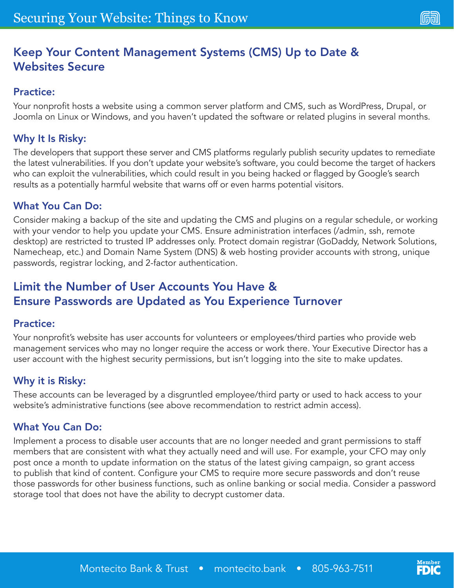

# Keep Your Content Management Systems (CMS) Up to Date & Websites Secure

#### Practice:

Your nonprofit hosts a website using a common server platform and CMS, such as WordPress, Drupal, or Joomla on Linux or Windows, and you haven't updated the software or related plugins in several months.

#### Why It Is Risky:

The developers that support these server and CMS platforms regularly publish security updates to remediate the latest vulnerabilities. If you don't update your website's software, you could become the target of hackers who can exploit the vulnerabilities, which could result in you being hacked or flagged by Google's search results as a potentially harmful website that warns off or even harms potential visitors.

#### What You Can Do:

Consider making a backup of the site and updating the CMS and plugins on a regular schedule, or working with your vendor to help you update your CMS. Ensure administration interfaces (/admin, ssh, remote desktop) are restricted to trusted IP addresses only. Protect domain registrar (GoDaddy, Network Solutions, Namecheap, etc.) and Domain Name System (DNS) & web hosting provider accounts with strong, unique passwords, registrar locking, and 2-factor authentication.

# Limit the Number of User Accounts You Have & Ensure Passwords are Updated as You Experience Turnover

#### Practice:

Your nonprofit's website has user accounts for volunteers or employees/third parties who provide web management services who may no longer require the access or work there. Your Executive Director has a user account with the highest security permissions, but isn't logging into the site to make updates.

## Why it is Risky:

These accounts can be leveraged by a disgruntled employee/third party or used to hack access to your website's administrative functions (see above recommendation to restrict admin access).

#### What You Can Do:

Implement a process to disable user accounts that are no longer needed and grant permissions to staff members that are consistent with what they actually need and will use. For example, your CFO may only post once a month to update information on the status of the latest giving campaign, so grant access to publish that kind of content. Configure your CMS to require more secure passwords and don't reuse those passwords for other business functions, such as online banking or social media. Consider a password storage tool that does not have the ability to decrypt customer data.